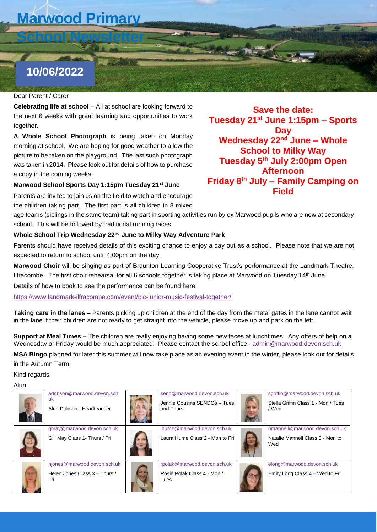# **Marwood Primary**

**School Newsletter**

## **10/06/2022**

### Dear Parent / Carer *Dear Parent/Carer*

**Celebrating life at school** – All at school are looking forward to the next 6 weeks with great learning and opportunities to work together.

**A Whole School Photograph** is being taken on Monday **15/05/20** morning at school. We are hoping for good weather to allow the picture to be taken on the playground. The last such photograph was taken in 2014. Please look out for details of how to purchase a copy in the coming weeks.

#### **Marwood School Sports Day 1:15pm Tuesday 21st June**

Parents are invited to join us on the field to watch and encourage the children taking part. The first part is all children in 8 mixed

age teams (siblings in the same team) taking part in sporting activities run by ex Marwood pupils who are now at secondary school. This will be followed by traditional running races.

#### **Whole School Trip Wednesday 22nd June to Milky Way Adventure Park**

Parents should have received details of this exciting chance to enjoy a day out as a school. Please note that we are not expected to return to school until 4:00pm on the day.

**Marwood Choir** will be singing as part of Braunton Learning Cooperative Trust's performance at the Landmark Theatre, Ilfracombe. The first choir rehearsal for all 6 schools together is taking place at Marwood on Tuesday 14th June.

Details of how to book to see the performance can be found here.

<https://www.landmark-ilfracombe.com/event/blc-junior-music-festival-together/>

**Taking care in the lanes** – Parents picking up children at the end of the day from the metal gates in the lane cannot wait in the lane if their children are not ready to get straight into the vehicle, please move up and park on the left.

**Support at Meal Times –** The children are really enjoying having some new faces at lunchtimes. Any offers of help on a Wednesday or Friday would be much appreciated. Please contact the school office. [admin@marwood.devon.sch.uk](mailto:admin@marwood.devon.sch.uk)

**MSA Bingo** planned for later this summer will now take place as an evening event in the winter, please look out for details in the Autumn Term,

Kind regards

Alun

| adobson@marwood.devon.sch.<br>uk<br>Alun Dobson - Headteacher       | send@marwood.devon.sch.uk<br>Jennie Cousins SENDCo - Tues<br>and Thurs | sgriffin@marwood.devon.sch.uk<br>Stella Griffin Class 1 - Mon / Tues<br>/ Wed |
|---------------------------------------------------------------------|------------------------------------------------------------------------|-------------------------------------------------------------------------------|
| gmay@marwood.devon.sch.uk<br>Gill May Class 1- Thurs / Fri          | lhume@marwood.devon.sch.uk<br>Laura Hume Class 2 - Mon to Fri          | nmannell@marwood.devon.sch.uk<br>Natalie Mannell Class 3 - Mon to<br>Wed      |
| hjones@marwood.devon.sch.uk<br>Helen Jones Class 3 - Thurs /<br>Fri | rpolak@marwood.devon.sch.uk<br>Rosie Polak Class 4 - Mon /<br>Tues     | elong@marwood.devon.sch.uk<br>Emily Long Class 4 - Wed to Fri                 |

**Save the date: Tuesday 21st June 1:15pm – Sports Day Wednesday 22nd June – Whole School to Milky Way Tuesday 5th July 2:00pm Open Afternoon Friday 8th July – Family Camping on Field**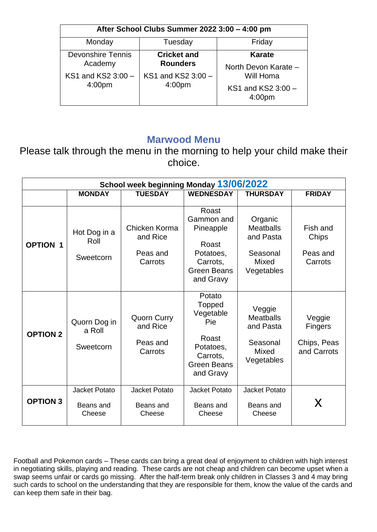| After School Clubs Summer 2022 3:00 - 4:00 pm |                                          |                                          |  |  |  |  |  |  |  |  |
|-----------------------------------------------|------------------------------------------|------------------------------------------|--|--|--|--|--|--|--|--|
| Monday                                        | Tuesday                                  | Friday                                   |  |  |  |  |  |  |  |  |
| <b>Devonshire Tennis</b>                      | <b>Cricket and</b>                       | Karate                                   |  |  |  |  |  |  |  |  |
| Academy                                       | <b>Rounders</b>                          | North Devon Karate -                     |  |  |  |  |  |  |  |  |
| KS1 and KS2 3:00 -<br>4:00 <sub>pm</sub>      | KS1 and KS2 3:00 -<br>4:00 <sub>pm</sub> | Will Homa                                |  |  |  |  |  |  |  |  |
|                                               |                                          | KS1 and KS2 3:00 -<br>4:00 <sub>pm</sub> |  |  |  |  |  |  |  |  |

### **Marwood Menu**

Please talk through the menu in the morning to help your child make their choice.

| School week beginning Monday 13/06/2022 |                                             |                                                       |                                                                                                           |                                                                                    |                                                 |  |  |  |  |  |  |
|-----------------------------------------|---------------------------------------------|-------------------------------------------------------|-----------------------------------------------------------------------------------------------------------|------------------------------------------------------------------------------------|-------------------------------------------------|--|--|--|--|--|--|
|                                         | <b>MONDAY</b>                               | <b>TUESDAY</b>                                        | <b>WEDNESDAY</b>                                                                                          | <b>THURSDAY</b>                                                                    | <b>FRIDAY</b>                                   |  |  |  |  |  |  |
| <b>OPTION 1</b>                         | Hot Dog in a<br>Roll<br>Sweetcorn           | Chicken Korma<br>and Rice<br>Peas and<br>Carrots      | Roast<br>Gammon and<br>Pineapple<br>Roast<br>Potatoes,<br>Carrots,<br><b>Green Beans</b><br>and Gravy     | Organic<br><b>Meatballs</b><br>and Pasta<br>Seasonal<br><b>Mixed</b><br>Vegetables | Fish and<br>Chips<br>Peas and<br>Carrots        |  |  |  |  |  |  |
| <b>OPTION 2</b>                         | Quorn Dog in<br>a Roll<br>Sweetcorn         | <b>Quorn Curry</b><br>and Rice<br>Peas and<br>Carrots | Potato<br>Topped<br>Vegetable<br>Pie<br>Roast<br>Potatoes,<br>Carrots,<br><b>Green Beans</b><br>and Gravy | Veggie<br><b>Meatballs</b><br>and Pasta<br>Seasonal<br><b>Mixed</b><br>Vegetables  | Veggie<br>Fingers<br>Chips, Peas<br>and Carrots |  |  |  |  |  |  |
| <b>OPTION 3</b>                         | <b>Jacket Potato</b><br>Beans and<br>Cheese | Jacket Potato<br>Beans and<br>Cheese                  | Jacket Potato<br>Beans and<br>Cheese                                                                      | <b>Jacket Potato</b><br>Beans and<br>Cheese                                        | X                                               |  |  |  |  |  |  |

Football and Pokemon cards – These cards can bring a great deal of enjoyment to children with high interest in negotiating skills, playing and reading. These cards are not cheap and children can become upset when a swap seems unfair or cards go missing. After the half-term break only children in Classes 3 and 4 may bring such cards to school on the understanding that they are responsible for them, know the value of the cards and can keep them safe in their bag.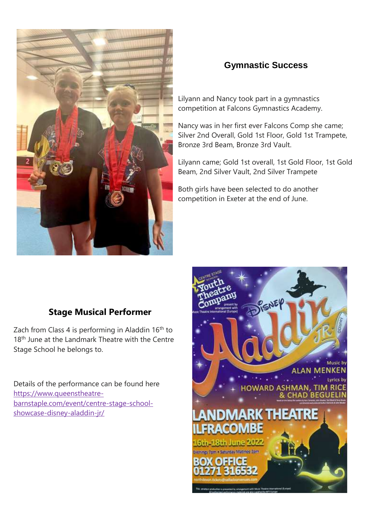

### **Gymnastic Success**

Lilyann and Nancy took part in a gymnastics competition at Falcons Gymnastics Academy.

Nancy was in her first ever Falcons Comp she came; Silver 2nd Overall, Gold 1st Floor, Gold 1st Trampete, Bronze 3rd Beam, Bronze 3rd Vault.

Lilyann came; Gold 1st overall, 1st Gold Floor, 1st Gold Beam, 2nd Silver Vault, 2nd Silver Trampete

Both girls have been selected to do another competition in Exeter at the end of June.

### **Stage Musical Performer**

Zach from Class 4 is performing in Aladdin 16<sup>th</sup> to 18<sup>th</sup> June at the Landmark Theatre with the Centre Stage School he belongs to.

Details of the performance can be found here [https://www.queenstheatre](https://www.queenstheatre-barnstaple.com/event/centre-stage-school-showcase-disney-aladdin-jr/)[barnstaple.com/event/centre-stage-school](https://www.queenstheatre-barnstaple.com/event/centre-stage-school-showcase-disney-aladdin-jr/)[showcase-disney-aladdin-jr/](https://www.queenstheatre-barnstaple.com/event/centre-stage-school-showcase-disney-aladdin-jr/)